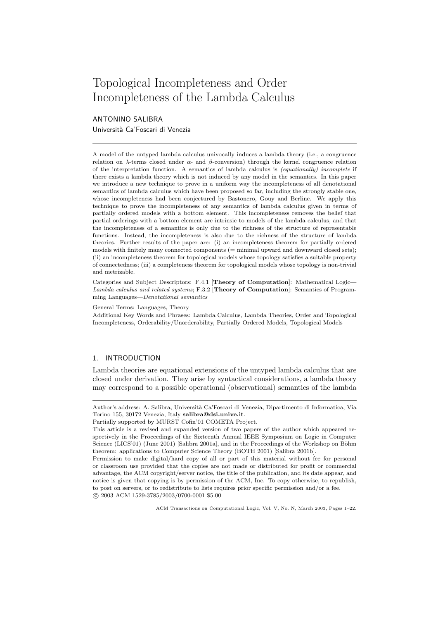# Topological Incompleteness and Order Incompleteness of the Lambda Calculus

ANTONINO SALIBRA Università Ca'Foscari di Venezia

A model of the untyped lambda calculus univocally induces a lambda theory (i.e., a congruence relation on  $\lambda$ -terms closed under  $\alpha$ - and  $\beta$ -conversion) through the kernel congruence relation of the interpretation function. A semantics of lambda calculus is (equationally) incomplete if there exists a lambda theory which is not induced by any model in the semantics. In this paper we introduce a new technique to prove in a uniform way the incompleteness of all denotational semantics of lambda calculus which have been proposed so far, including the strongly stable one, whose incompleteness had been conjectured by Bastonero, Gouy and Berline. We apply this technique to prove the incompleteness of any semantics of lambda calculus given in terms of partially ordered models with a bottom element. This incompleteness removes the belief that partial orderings with a bottom element are intrinsic to models of the lambda calculus, and that the incompleteness of a semantics is only due to the richness of the structure of representable functions. Instead, the incompleteness is also due to the richness of the structure of lambda theories. Further results of the paper are: (i) an incompleteness theorem for partially ordered models with finitely many connected components (= minimal upward and downward closed sets); (ii) an incompleteness theorem for topological models whose topology satisfies a suitable property of connectedness; (iii) a completeness theorem for topological models whose topology is non-trivial and metrizable.

Categories and Subject Descriptors: F.4.1 [Theory of Computation]: Mathematical Logic— Lambda calculus and related systems; F.3.2 [Theory of Computation]: Semantics of Programming Languages—Denotational semantics

General Terms: Languages, Theory

Additional Key Words and Phrases: Lambda Calculus, Lambda Theories, Order and Topological Incompleteness, Orderability/Unorderability, Partially Ordered Models, Topological Models

# 1. INTRODUCTION

Lambda theories are equational extensions of the untyped lambda calculus that are closed under derivation. They arise by syntactical considerations, a lambda theory may correspond to a possible operational (observational) semantics of the lambda

Author's address: A. Salibra, Università Ca'Foscari di Venezia, Dipartimento di Informatica, Via Torino 155, 30172 Venezia, Italy salibra@dsi.unive.it.

Partially supported by MURST Cofin'01 COMETA Project.

This article is a revised and expanded version of two papers of the author which appeared respectively in the Proceedings of the Sixteenth Annual IEEE Symposium on Logic in Computer Science (LICS'01) (June 2001) [Salibra 2001a], and in the Proceedings of the Workshop on Böhm theorem: applications to Computer Science Theory (BOTH 2001) [Salibra 2001b].

Permission to make digital/hard copy of all or part of this material without fee for personal or classroom use provided that the copies are not made or distributed for profit or commercial advantage, the ACM copyright/server notice, the title of the publication, and its date appear, and notice is given that copying is by permission of the ACM, Inc. To copy otherwise, to republish, to post on servers, or to redistribute to lists requires prior specific permission and/or a fee. c 2003 ACM 1529-3785/2003/0700-0001 \$5.00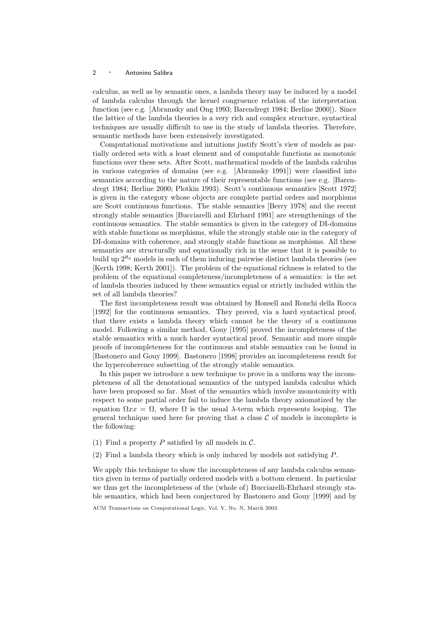calculus, as well as by semantic ones, a lambda theory may be induced by a model of lambda calculus through the kernel congruence relation of the interpretation function (see e.g. [Abramsky and Ong 1993; Barendregt 1984; Berline 2000]). Since the lattice of the lambda theories is a very rich and complex structure, syntactical techniques are usually difficult to use in the study of lambda theories. Therefore, semantic methods have been extensively investigated.

Computational motivations and intuitions justify Scott's view of models as partially ordered sets with a least element and of computable functions as monotonic functions over these sets. After Scott, mathematical models of the lambda calculus in various categories of domains (see e.g. [Abramsky 1991]) were classified into semantics according to the nature of their representable functions (see e.g. [Barendregt 1984; Berline 2000; Plotkin 1993). Scott's continuous semantics [Scott 1972] is given in the category whose objects are complete partial orders and morphisms are Scott continuous functions. The stable semantics [Berry 1978] and the recent strongly stable semantics [Bucciarelli and Ehrhard 1991] are strengthenings of the continuous semantics. The stable semantics is given in the category of DI-domains with stable functions as morphisms, while the strongly stable one in the category of DI-domains with coherence, and strongly stable functions as morphisms. All these semantics are structurally and equationally rich in the sense that it is possible to build up  $2^{\aleph_0}$  models in each of them inducing pairwise distinct lambda theories (see [Kerth 1998; Kerth 2001]). The problem of the equational richness is related to the problem of the equational completeness/incompleteness of a semantics: is the set of lambda theories induced by these semantics equal or strictly included within the set of all lambda theories?

The first incompleteness result was obtained by Honsell and Ronchi della Rocca [1992] for the continuous semantics. They proved, via a hard syntactical proof, that there exists a lambda theory which cannot be the theory of a continuous model. Following a similar method, Gouy [1995] proved the incompleteness of the stable semantics with a much harder syntactical proof. Semantic and more simple proofs of incompleteness for the continuous and stable semantics can be found in [Bastonero and Gouy 1999]. Bastonero [1998] provides an incompleteness result for the hypercoherence subsetting of the strongly stable semantics.

In this paper we introduce a new technique to prove in a uniform way the incompleteness of all the denotational semantics of the untyped lambda calculus which have been proposed so far. Most of the semantics which involve monotonicity with respect to some partial order fail to induce the lambda theory axiomatized by the equation  $\Omega x x = \Omega$ , where  $\Omega$  is the usual  $\lambda$ -term which represents looping. The general technique used here for proving that a class  $C$  of models is incomplete is the following:

- (1) Find a property P satisfied by all models in  $\mathcal{C}$ .
- (2) Find a lambda theory which is only induced by models not satisfying P.

We apply this technique to show the incompleteness of any lambda calculus semantics given in terms of partially ordered models with a bottom element. In particular we thus get the incompleteness of the (whole of) Bucciarelli-Ehrhard strongly stable semantics, which had been conjectured by Bastonero and Gouy [1999] and by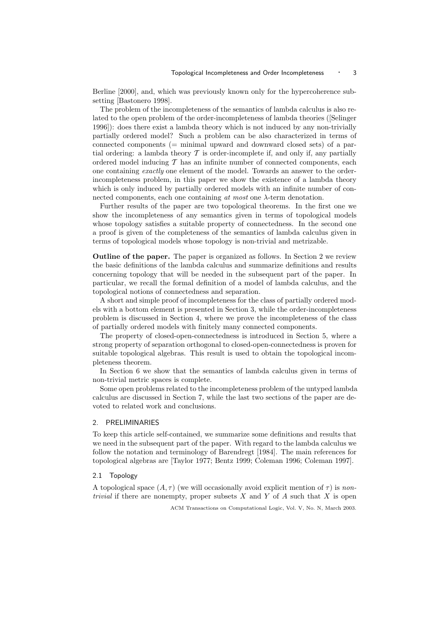Berline [2000], and, which was previously known only for the hypercoherence subsetting [Bastonero 1998].

The problem of the incompleteness of the semantics of lambda calculus is also related to the open problem of the order-incompleteness of lambda theories ([Selinger 1996]): does there exist a lambda theory which is not induced by any non-trivially partially ordered model? Such a problem can be also characterized in terms of connected components  $(=$  minimal upward and downward closed sets) of a partial ordering: a lambda theory  $\mathcal T$  is order-incomplete if, and only if, any partially ordered model inducing  $\mathcal T$  has an infinite number of connected components, each one containing exactly one element of the model. Towards an answer to the orderincompleteness problem, in this paper we show the existence of a lambda theory which is only induced by partially ordered models with an infinite number of connected components, each one containing at most one  $\lambda$ -term denotation.

Further results of the paper are two topological theorems. In the first one we show the incompleteness of any semantics given in terms of topological models whose topology satisfies a suitable property of connectedness. In the second one a proof is given of the completeness of the semantics of lambda calculus given in terms of topological models whose topology is non-trivial and metrizable.

Outline of the paper. The paper is organized as follows. In Section 2 we review the basic definitions of the lambda calculus and summarize definitions and results concerning topology that will be needed in the subsequent part of the paper. In particular, we recall the formal definition of a model of lambda calculus, and the topological notions of connectedness and separation.

A short and simple proof of incompleteness for the class of partially ordered models with a bottom element is presented in Section 3, while the order-incompleteness problem is discussed in Section 4, where we prove the incompleteness of the class of partially ordered models with finitely many connected components.

The property of closed-open-connectedness is introduced in Section 5, where a strong property of separation orthogonal to closed-open-connectedness is proven for suitable topological algebras. This result is used to obtain the topological incompleteness theorem.

In Section 6 we show that the semantics of lambda calculus given in terms of non-trivial metric spaces is complete.

Some open problems related to the incompleteness problem of the untyped lambda calculus are discussed in Section 7, while the last two sections of the paper are devoted to related work and conclusions.

## 2. PRELIMINARIES

To keep this article self-contained, we summarize some definitions and results that we need in the subsequent part of the paper. With regard to the lambda calculus we follow the notation and terminology of Barendregt [1984]. The main references for topological algebras are [Taylor 1977; Bentz 1999; Coleman 1996; Coleman 1997].

## 2.1 Topology

A topological space  $(A, \tau)$  (we will occasionally avoid explicit mention of  $\tau$ ) is non*trivial* if there are nonempty, proper subsets  $X$  and  $Y$  of  $A$  such that  $X$  is open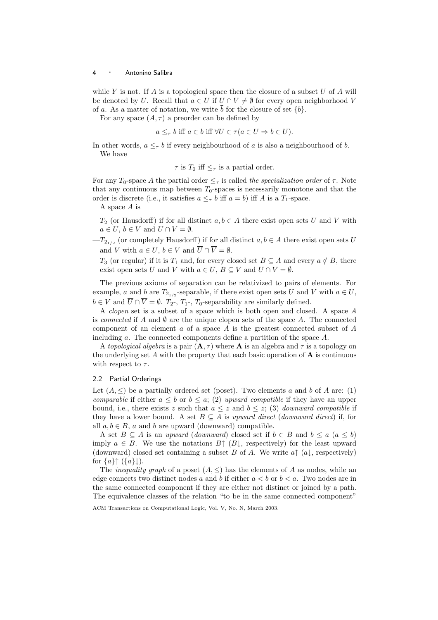while  $Y$  is not. If  $A$  is a topological space then the closure of a subset  $U$  of  $A$  will be denoted by  $\overline{U}$ . Recall that  $a \in \overline{U}$  if  $U \cap V \neq \emptyset$  for every open neighborhood V of a. As a matter of notation, we write  $\bar{b}$  for the closure of set  $\{b\}$ .

For any space  $(A, \tau)$  a preorder can be defined by

$$
a \leq_{\tau} b
$$
 iff  $a \in \overline{b}$  iff  $\forall U \in \tau (a \in U \Rightarrow b \in U)$ .

In other words,  $a \leq_{\tau} b$  if every neighbourhood of a is also a neighbourhood of b. We have

 $\tau$  is  $T_0$  iff  $\leq_{\tau}$  is a partial order.

For any  $T_0$ -space A the partial order  $\leq_\tau$  is called the specialization order of  $\tau$ . Note that any continuous map between  $T_0$ -spaces is necessarily monotone and that the order is discrete (i.e., it satisfies  $a \leq_{\tau} b$  iff  $a = b$ ) iff A is a  $T_1$ -space.

A space A is

- $-T_2$  (or Hausdorff) if for all distinct  $a, b \in A$  there exist open sets U and V with  $a \in U, b \in V$  and  $U \cap V = \emptyset$ .
- $-T_{2_{1/2}}$  (or completely Hausdorff) if for all distinct  $a, b \in A$  there exist open sets U and V with  $a \in U$ ,  $b \in V$  and  $\overline{U} \cap \overline{V} = \emptyset$ .
- $-T_3$  (or regular) if it is  $T_1$  and, for every closed set  $B \subseteq A$  and every  $a \notin B$ , there exist open sets U and V with  $a \in U$ ,  $B \subseteq V$  and  $U \cap V = \emptyset$ .

The previous axioms of separation can be relativized to pairs of elements. For example, a and b are  $T_{2_{1/2}}$ -separable, if there exist open sets U and V with  $a \in U$ ,  $b \in V$  and  $\overline{U} \cap \overline{V} = \emptyset$ .  $T_2$ -,  $T_1$ -,  $T_0$ -separability are similarly defined.

A clopen set is a subset of a space which is both open and closed. A space A is connected if A and  $\emptyset$  are the unique clopen sets of the space A. The connected component of an element  $\alpha$  of a space  $A$  is the greatest connected subset of  $A$ including a. The connected components define a partition of the space A.

A topological algebra is a pair  $(A, \tau)$  where A is an algebra and  $\tau$  is a topology on the underlying set  $A$  with the property that each basic operation of  $A$  is continuous with respect to  $\tau$ .

#### 2.2 Partial Orderings

Let  $(A, \leq)$  be a partially ordered set (poset). Two elements a and b of A are: (1) comparable if either  $a \leq b$  or  $b \leq a$ ; (2) upward compatible if they have an upper bound, i.e., there exists z such that  $a \leq z$  and  $b \leq z$ ; (3) *downward compatible* if they have a lower bound. A set  $B \subseteq A$  is upward direct (downward direct) if, for all  $a, b \in B$ , a and b are upward (downward) compatible.

A set  $B \subseteq A$  is an upward (downward) closed set if  $b \in B$  and  $b \le a$   $(a \le b)$ imply  $a \in B$ . We use the notations  $B \uparrow (B \downarrow, \text{ respectively})$  for the least upward (downward) closed set containing a subset B of A. We write  $a \uparrow (a \downarrow, \text{respectively})$ for  $\{a\} \uparrow (\{a\} \downarrow)$ .

The *inequality graph* of a poset  $(A, \leq)$  has the elements of A as nodes, while an edge connects two distinct nodes a and b if either  $a < b$  or  $b < a$ . Two nodes are in the same connected component if they are either not distinct or joined by a path. The equivalence classes of the relation "to be in the same connected component"

ACM Transactions on Computational Logic, Vol. V, No. N, March 2003.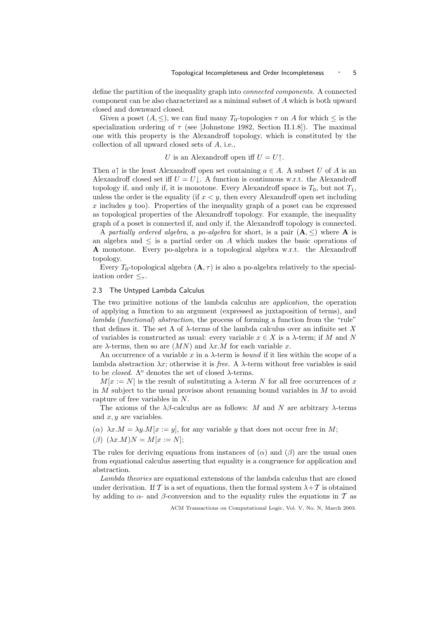define the partition of the inequality graph into connected components. A connected component can be also characterized as a minimal subset of A which is both upward closed and downward closed.

Given a poset  $(A, \leq)$ , we can find many  $T_0$ -topologies  $\tau$  on A for which  $\leq$  is the specialization ordering of  $\tau$  (see [Johnstone 1982, Section II.1.8]). The maximal one with this property is the Alexandroff topology, which is constituted by the collection of all upward closed sets of A, i.e.,

# U is an Alexandroff open iff  $U = U$ <sup> $\uparrow$ </sup>.

Then  $a\uparrow$  is the least Alexandroff open set containing  $a \in A$ . A subset U of A is an Alexandroff closed set iff  $U = U \downarrow$ . A function is continuous w.r.t. the Alexandroff topology if, and only if, it is monotone. Every Alexandroff space is  $T_0$ , but not  $T_1$ , unless the order is the equality (if  $x < y$ , then every Alexandroff open set including x includes  $y$  too). Properties of the inequality graph of a poset can be expressed as topological properties of the Alexandroff topology. For example, the inequality graph of a poset is connected if, and only if, the Alexandroff topology is connected.

A partially ordered algebra, a po-algebra for short, is a pair  $(A, \leq)$  where A is an algebra and  $\leq$  is a partial order on A which makes the basic operations of A monotone. Every po-algebra is a topological algebra w.r.t. the Alexandroff topology.

Every  $T_0$ -topological algebra  $(\mathbf{A}, \tau)$  is also a po-algebra relatively to the specialization order  $\leq_\tau$ .

#### 2.3 The Untyped Lambda Calculus

The two primitive notions of the lambda calculus are application, the operation of applying a function to an argument (expressed as juxtaposition of terms), and lambda (functional) abstraction, the process of forming a function from the "rule" that defines it. The set  $\Lambda$  of  $\lambda$ -terms of the lambda calculus over an infinite set X of variables is constructed as usual: every variable  $x \in X$  is a  $\lambda$ -term; if M and N are  $\lambda$ -terms, then so are  $(MN)$  and  $\lambda x.M$  for each variable x.

An occurrence of a variable x in a  $\lambda$ -term is *bound* if it lies within the scope of a lambda abstraction  $\lambda x$ ; otherwise it is *free.* A  $\lambda$ -term without free variables is said to be *closed*.  $Λ<sup>o</sup>$  denotes the set of closed  $λ$ -terms.

 $M[x := N]$  is the result of substituting a  $\lambda$ -term N for all free occurrences of x in  $M$  subject to the usual provisos about renaming bound variables in  $M$  to avoid capture of free variables in N.

The axioms of the  $\lambda\beta$ -calculus are as follows: M and N are arbitrary  $\lambda$ -terms and  $x, y$  are variables.

- ( $\alpha$ )  $\lambda x.M = \lambda y.M[x := y]$ , for any variable y that does not occur free in M;
- $(\beta)$   $(\lambda x.M)N = M[x := N];$

The rules for deriving equations from instances of  $(\alpha)$  and  $(\beta)$  are the usual ones from equational calculus asserting that equality is a congruence for application and abstraction.

Lambda theories are equational extensions of the lambda calculus that are closed under derivation. If T is a set of equations, then the formal system  $\lambda + T$  is obtained by adding to  $\alpha$ - and  $\beta$ -conversion and to the equality rules the equations in T as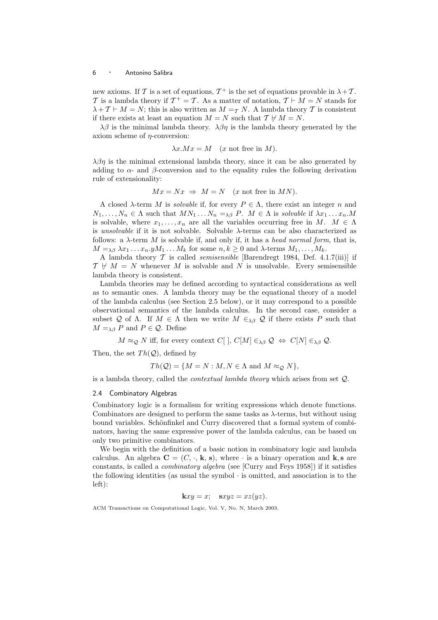new axioms. If T is a set of equations,  $T^+$  is the set of equations provable in  $\lambda + T$ . T is a lambda theory if  $T^+ = T$ . As a matter of notation,  $T \vdash M = N$  stands for  $\lambda + \mathcal{T} \vdash M = N$ ; this is also written as  $M = \tau N$ . A lambda theory T is consistent if there exists at least an equation  $M = N$  such that  $\mathcal{T} \not\vdash M = N$ .

 $\lambda\beta$  is the minimal lambda theory.  $\lambda\beta\eta$  is the lambda theory generated by the axiom scheme of η-conversion:

$$
\lambda x.Mx = M \quad (x \text{ not free in } M).
$$

 $\lambda\beta\eta$  is the minimal extensional lambda theory, since it can be also generated by adding to  $\alpha$ - and  $\beta$ -conversion and to the equality rules the following derivation rule of extensionality:

$$
Mx = Nx \Rightarrow M = N \quad (x \text{ not free in } MN).
$$

A closed  $\lambda$ -term M is *solvable* if, for every  $P \in \Lambda$ , there exist an integer n and  $N_1, \ldots, N_n \in \Lambda$  such that  $MN_1 \ldots N_n =_{\lambda \beta} P$ .  $M \in \Lambda$  is solvable if  $\lambda x_1 \ldots x_n M$ is solvable, where  $x_1, \ldots, x_n$  are all the variables occurring free in  $M$ .  $M \in \Lambda$ is unsolvable if it is not solvable. Solvable λ-terms can be also characterized as follows: a  $\lambda$ -term M is solvable if, and only if, it has a head normal form, that is,  $M =_{\lambda\beta} \lambda x_1 \ldots x_n y M_1 \ldots M_k$  for some  $n, k \geq 0$  and  $\lambda$ -terms  $M_1, \ldots, M_k$ .

A lambda theory  $\mathcal T$  is called *semisensible* [Barendregt 1984, Def. 4.1.7(iii)] if  $\mathcal{T} \not\vdash M = N$  whenever M is solvable and N is unsolvable. Every semisensible lambda theory is consistent.

Lambda theories may be defined according to syntactical considerations as well as to semantic ones. A lambda theory may be the equational theory of a model of the lambda calculus (see Section 2.5 below), or it may correspond to a possible observational semantics of the lambda calculus. In the second case, consider a subset Q of  $\Lambda$ . If  $M \in \Lambda$  then we write  $M \in_{\lambda\beta} Q$  if there exists P such that  $M =_{\lambda\beta} P$  and  $P \in \mathcal{Q}$ . Define

 $M \approx_{\mathcal{Q}} N$  iff, for every context  $C[$   $], C[M] \in_{\lambda\beta} \mathcal{Q} \Leftrightarrow C[N] \in_{\lambda\beta} \mathcal{Q}$ .

Then, the set  $Th(Q)$ , defined by

 $Th(Q) = \{M = N : M, N \in \Lambda \text{ and } M \approx_{Q} N\},\$ 

is a lambda theory, called the contextual lambda theory which arises from set Q.

#### 2.4 Combinatory Algebras

Combinatory logic is a formalism for writing expressions which denote functions. Combinators are designed to perform the same tasks as  $\lambda$ -terms, but without using bound variables. Schönfinkel and Curry discovered that a formal system of combinators, having the same expressive power of the lambda calculus, can be based on only two primitive combinators.

We begin with the definition of a basic notion in combinatory logic and lambda calculus. An algebra  $C = (C, \cdot, k, s)$ , where  $\cdot$  is a binary operation and k, s are constants, is called a combinatory algebra (see [Curry and Feys 1958]) if it satisfies the following identities (as usual the symbol · is omitted, and association is to the left):

$$
kxy = x; \quad sxyz = xz(yz).
$$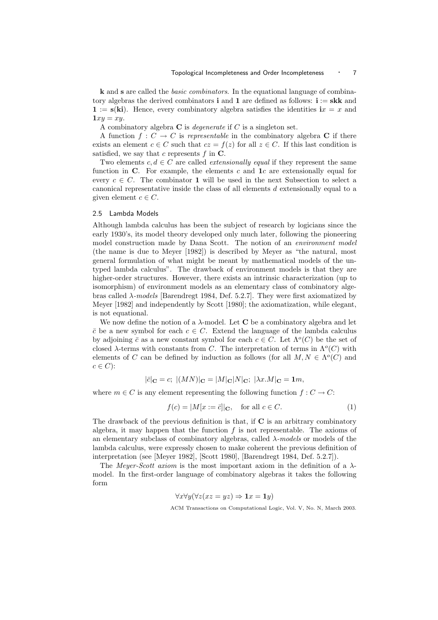k and s are called the basic combinators. In the equational language of combinatory algebras the derived combinators **i** and **1** are defined as follows: **i** := **skk** and  $\mathbf{1} := \mathbf{s}(\mathbf{k} \mathbf{i})$ . Hence, every combinatory algebra satisfies the identities  $\mathbf{i}x = x$  and  $1xy = xu$ .

A combinatory algebra  $C$  is *degenerate* if  $C$  is a singleton set.

A function  $f: C \to C$  is representable in the combinatory algebra C if there exists an element  $c \in C$  such that  $cz = f(z)$  for all  $z \in C$ . If this last condition is satisfied, we say that c represents  $f$  in  $\mathbf{C}$ .

Two elements  $c, d \in C$  are called *extensionally equal* if they represent the same function in  $\bf{C}$ . For example, the elements c and  $\bf{1}c$  are extensionally equal for every  $c \in C$ . The combinator 1 will be used in the next Subsection to select a canonical representative inside the class of all elements d extensionally equal to a given element  $c \in C$ .

## 2.5 Lambda Models

Although lambda calculus has been the subject of research by logicians since the early 1930's, its model theory developed only much later, following the pioneering model construction made by Dana Scott. The notion of an environment model (the name is due to Meyer [1982]) is described by Meyer as "the natural, most general formulation of what might be meant by mathematical models of the untyped lambda calculus". The drawback of environment models is that they are higher-order structures. However, there exists an intrinsic characterization (up to isomorphism) of environment models as an elementary class of combinatory algebras called  $\lambda$ -models [Barendregt 1984, Def. 5.2.7]. They were first axiomatized by Meyer [1982] and independently by Scott [1980]; the axiomatization, while elegant, is not equational.

We now define the notion of a  $\lambda$ -model. Let C be a combinatory algebra and let  $\bar{c}$  be a new symbol for each  $c \in C$ . Extend the language of the lambda calculus by adjoining  $\bar{c}$  as a new constant symbol for each  $c \in C$ . Let  $\Lambda^o(C)$  be the set of closed  $\lambda$ -terms with constants from C. The interpretation of terms in  $\Lambda^o(C)$  with elements of C can be defined by induction as follows (for all  $M, N \in \Lambda^o(C)$  and  $c \in C$ :

$$
|\bar{c}|_{\mathbf{C}} = c; \ |(MN)|_{\mathbf{C}} = |M|_{\mathbf{C}}|N|_{\mathbf{C}}; \ |\lambda x.M|_{\mathbf{C}} = \mathbf{1}m,
$$

where  $m \in C$  is any element representing the following function  $f: C \to C$ :

$$
f(c) = |M[x := \overline{c}]|_{\mathbf{C}}, \quad \text{for all } c \in C.
$$
 (1)

The drawback of the previous definition is that, if  $C$  is an arbitrary combinatory algebra, it may happen that the function  $f$  is not representable. The axioms of an elementary subclass of combinatory algebras, called  $\lambda$ -models or models of the lambda calculus, were expressly chosen to make coherent the previous definition of interpretation (see [Meyer 1982], [Scott 1980], [Barendregt 1984, Def. 5.2.7]).

The *Meyer-Scott axiom* is the most important axiom in the definition of a  $\lambda$ model. In the first-order language of combinatory algebras it takes the following form

$$
\forall x \forall y (\forall z (xz = yz) \Rightarrow \mathbf{1}x = \mathbf{1}y)
$$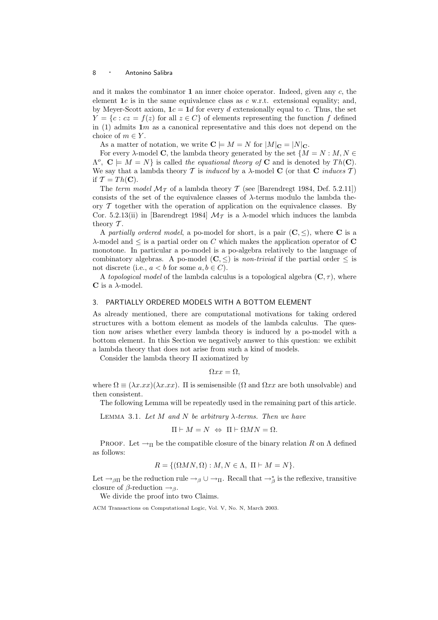and it makes the combinator  $1$  an inner choice operator. Indeed, given any  $c$ , the element  $1c$  is in the same equivalence class as c w.r.t. extensional equality; and, by Meyer-Scott axiom,  $1c = 1d$  for every d extensionally equal to c. Thus, the set  $Y = \{c : cz = f(z) \text{ for all } z \in C\}$  of elements representing the function f defined in (1) admits  $1m$  as a canonical representative and this does not depend on the choice of  $m \in Y$ .

As a matter of notation, we write  $\mathbf{C} \models M = N$  for  $|M|_{\mathbf{C}} = |N|_{\mathbf{C}}$ .

For every  $\lambda$ -model **C**, the lambda theory generated by the set  $\{M = N : M, N \in$  $\Lambda^o$ ,  $\mathbf{C} \models M = N$  is called the equational theory of **C** and is denoted by  $Th(\mathbf{C})$ . We say that a lambda theory T is induced by a  $\lambda$ -model C (or that C induces T) if  $\mathcal{T} = Th(\mathbf{C}).$ 

The term model  $\mathcal{M}_{\mathcal{T}}$  of a lambda theory  $\mathcal{T}$  (see [Barendregt 1984, Def. 5.2.11]) consists of the set of the equivalence classes of  $\lambda$ -terms modulo the lambda theory  $\mathcal T$  together with the operation of application on the equivalence classes. By Cor. 5.2.13(ii) in [Barendregt 1984]  $\mathcal{M}_{\mathcal{T}}$  is a  $\lambda$ -model which induces the lambda theory  $\mathcal T$ .

A partially ordered model, a po-model for short, is a pair  $(C, \le)$ , where C is a  $\lambda$ -model and  $\leq$  is a partial order on C which makes the application operator of C monotone. In particular a po-model is a po-algebra relatively to the language of combinatory algebras. A po-model  $(C, \leq)$  is non-trivial if the partial order  $\leq$  is not discrete (i.e.,  $a < b$  for some  $a, b \in C$ ).

A topological model of the lambda calculus is a topological algebra  $(C, \tau)$ , where  ${\bf C}$  is a  $\lambda\text{-model}.$ 

# 3. PARTIALLY ORDERED MODELS WITH A BOTTOM ELEMENT

As already mentioned, there are computational motivations for taking ordered structures with a bottom element as models of the lambda calculus. The question now arises whether every lambda theory is induced by a po-model with a bottom element. In this Section we negatively answer to this question: we exhibit a lambda theory that does not arise from such a kind of models.

Consider the lambda theory Π axiomatized by

$$
\Omega x x = \Omega,
$$

where  $\Omega \equiv (\lambda x.xx)(\lambda x.xx)$ . It is semisensible ( $\Omega$  and  $\Omega xx$  are both unsolvable) and then consistent.

The following Lemma will be repeatedly used in the remaining part of this article.

LEMMA 3.1. Let M and N be arbitrary  $\lambda$ -terms. Then we have

$$
\Pi \vdash M = N \ \Leftrightarrow \ \Pi \vdash \Omega MN = \Omega.
$$

PROOF. Let  $\rightarrow_{\Pi}$  be the compatible closure of the binary relation R on  $\Lambda$  defined as follows:

$$
R = \{(\Omega MN, \Omega) : M, N \in \Lambda, \Pi \vdash M = N\}.
$$

Let  $\rightarrow_{\beta\Pi}$  be the reduction rule  $\rightarrow_{\beta}\cup\rightarrow_{\Pi}$ . Recall that  $\rightarrow_{\beta}^*$  is the reflexive, transitive closure of  $\beta$ -reduction  $\rightarrow_{\beta}$ .

We divide the proof into two Claims.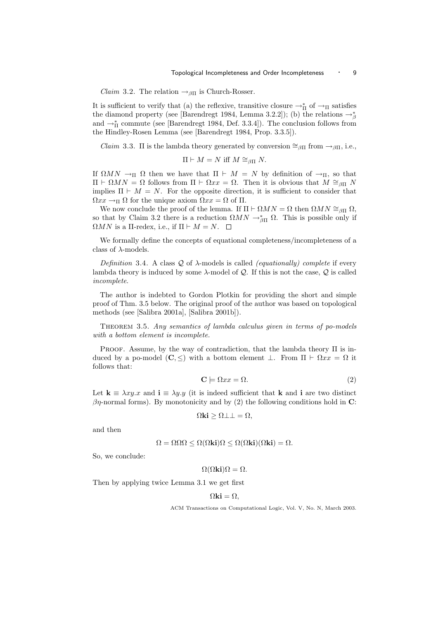*Claim* 3.2. The relation  $\rightarrow_{\beta\Pi}$  is Church-Rosser.

It is sufficient to verify that (a) the reflexive, transitive closure  $\to^*_\Pi$  of  $\to_\Pi$  satisfies the diamond property (see [Barendregt 1984, Lemma 3.2.2]); (b) the relations  $\rightarrow_{\beta}^*$ and  $\rightarrow_{\Pi}^*$  commute (see [Barendregt 1984, Def. 3.3.4]). The conclusion follows from the Hindley-Rosen Lemma (see [Barendregt 1984, Prop. 3.3.5]).

*Claim* 3.3. Π is the lambda theory generated by conversion  $\cong_{\beta\Pi}$  from  $\rightarrow_{\beta\Pi}$ , i.e.,

$$
\Pi \vdash M = N \text{ iff } M \cong_{\beta\Pi} N.
$$

If  $\Omega MN \to \Pi$  Ω then we have that  $\Pi \vdash M = N$  by definition of  $\to_{\Pi}$ , so that  $\Pi$   $\vdash$  Ω*MN* = Ω follows from  $\Pi$   $\vdash$  Ωxx = Ω. Then it is obvious that  $M \cong_{\beta\Pi} N$ implies  $\Pi \vdash M = N$ . For the opposite direction, it is sufficient to consider that  $\Omega xx \to \Pi \Omega$  for the unique axiom  $\Omega xx = \Omega$  of  $\Pi$ .

We now conclude the proof of the lemma. If  $\Pi \vdash \Omega MN = \Omega$  then  $\Omega MN \cong_{\beta\Pi} \Omega$ , so that by Claim 3.2 there is a reduction  $\Omega MN \to_{\beta\Pi}^* \Omega$ . This is possible only if  $\Omega MN$  is a  $\Pi$ -redex, i.e., if  $\Pi \vdash M = N$ .  $\Box$ 

We formally define the concepts of equational completeness/incompleteness of a class of  $\lambda$ -models.

Definition 3.4. A class  $Q$  of  $\lambda$ -models is called *(equationally)* complete if every lambda theory is induced by some  $\lambda$ -model of Q. If this is not the case, Q is called incomplete.

The author is indebted to Gordon Plotkin for providing the short and simple proof of Thm. 3.5 below. The original proof of the author was based on topological methods (see [Salibra 2001a], [Salibra 2001b]).

THEOREM 3.5. Any semantics of lambda calculus given in terms of po-models with a bottom element is incomplete.

PROOF. Assume, by the way of contradiction, that the lambda theory  $\Pi$  is induced by a po-model  $(C, \leq)$  with a bottom element  $\bot$ . From  $\Pi \vdash \Omega x x = \Omega$  it follows that:

$$
\mathbf{C} \models \Omega x x = \Omega. \tag{2}
$$

Let  $\mathbf{k} \equiv \lambda xy.x$  and  $\mathbf{i} \equiv \lambda y.y$  (it is indeed sufficient that k and i are two distinct  $βη$ -normal forms). By monotonicity and by (2) the following conditions hold in C:

$$
\Omega \mathbf{k} \mathbf{i} \geq \Omega \bot \bot = \Omega,
$$

and then

$$
\Omega = \Omega \Omega \Omega \le \Omega(\Omega \mathbf{k} \mathbf{i}) \Omega \le \Omega(\Omega \mathbf{k} \mathbf{i}) (\Omega \mathbf{k} \mathbf{i}) = \Omega.
$$

So, we conclude:

$$
\Omega(\Omega \mathbf{k} \mathbf{i})\Omega = \Omega.
$$

Then by applying twice Lemma 3.1 we get first

 $\Omega$ ki =  $\Omega$ .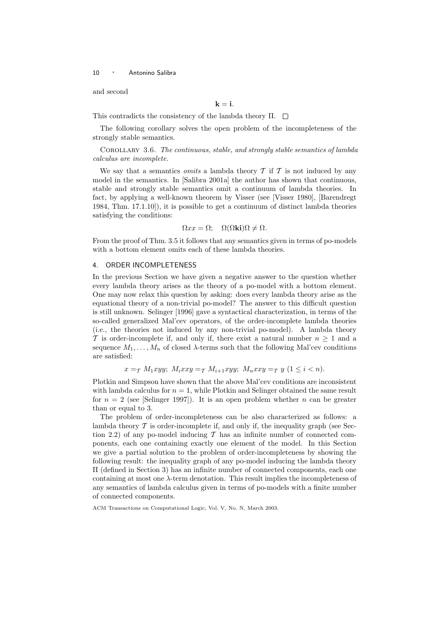and second

 $k = i$ .

This contradicts the consistency of the lambda theory  $\Pi$ .  $\square$ 

The following corollary solves the open problem of the incompleteness of the strongly stable semantics.

Corollary 3.6. The continuous, stable, and strongly stable semantics of lambda calculus are incomplete.

We say that a semantics *omits* a lambda theory  $\mathcal T$  if  $\mathcal T$  is not induced by any model in the semantics. In [Salibra 2001a] the author has shown that continuous, stable and strongly stable semantics omit a continuum of lambda theories. In fact, by applying a well-known theorem by Visser (see [Visser 1980], [Barendregt 1984, Thm. 17.1.10]), it is possible to get a continuum of distinct lambda theories satisfying the conditions:

$$
\Omega x x = \Omega; \quad \Omega(\Omega \mathbf{k} \mathbf{i}) \Omega \neq \Omega.
$$

From the proof of Thm. 3.5 it follows that any semantics given in terms of po-models with a bottom element omits each of these lambda theories.

## 4. ORDER INCOMPLETENESS

In the previous Section we have given a negative answer to the question whether every lambda theory arises as the theory of a po-model with a bottom element. One may now relax this question by asking: does every lambda theory arise as the equational theory of a non-trivial po-model? The answer to this difficult question is still unknown. Selinger [1996] gave a syntactical characterization, in terms of the so-called generalized Mal'cev operators, of the order-incomplete lambda theories (i.e., the theories not induced by any non-trivial po-model). A lambda theory T is order-incomplete if, and only if, there exist a natural number  $n \geq 1$  and a sequence  $M_1, \ldots, M_n$  of closed  $\lambda$ -terms such that the following Mal'cev conditions are satisfied:

$$
x =_{\mathcal{T}} M_1 xyy; \ M_i xxy =_{\mathcal{T}} M_{i+1} xyy; \ M_n xxy =_{\mathcal{T}} y \ (1 \leq i < n).
$$

Plotkin and Simpson have shown that the above Mal'cev conditions are inconsistent with lambda calculus for  $n = 1$ , while Plotkin and Selinger obtained the same result for  $n = 2$  (see [Selinger 1997]). It is an open problem whether n can be greater than or equal to 3.

The problem of order-incompleteness can be also characterized as follows: a lambda theory  $\mathcal T$  is order-incomplete if, and only if, the inequality graph (see Section 2.2) of any po-model inducing  $\mathcal T$  has an infinite number of connected components, each one containing exactly one element of the model. In this Section we give a partial solution to the problem of order-incompleteness by showing the following result: the inequality graph of any po-model inducing the lambda theory Π (defined in Section 3) has an infinite number of connected components, each one containing at most one  $\lambda$ -term denotation. This result implies the incompleteness of any semantics of lambda calculus given in terms of po-models with a finite number of connected components.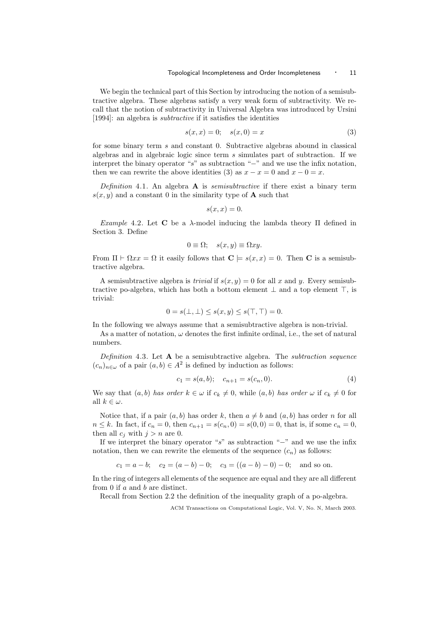We begin the technical part of this Section by introducing the notion of a semisubtractive algebra. These algebras satisfy a very weak form of subtractivity. We recall that the notion of subtractivity in Universal Algebra was introduced by Ursini [1994]: an algebra is subtractive if it satisfies the identities

$$
s(x, x) = 0; \quad s(x, 0) = x \tag{3}
$$

for some binary term s and constant 0. Subtractive algebras abound in classical algebras and in algebraic logic since term s simulates part of subtraction. If we interpret the binary operator "s" as subtraction "−" and we use the infix notation, then we can rewrite the above identities (3) as  $x - x = 0$  and  $x - 0 = x$ .

Definition 4.1. An algebra  $A$  is *semisubtractive* if there exist a binary term  $s(x, y)$  and a constant 0 in the similarity type of **A** such that

$$
s(x,x)=0.
$$

Example 4.2. Let C be a  $\lambda$ -model inducing the lambda theory  $\Pi$  defined in Section 3. Define

$$
0 \equiv \Omega; \quad s(x, y) \equiv \Omega xy.
$$

From  $\Pi \vdash \Omega x x = \Omega$  it easily follows that  $\mathbf{C} \models s(x, x) = 0$ . Then **C** is a semisubtractive algebra.

A semisubtractive algebra is *trivial* if  $s(x, y) = 0$  for all x and y. Every semisubtractive po-algebra, which has both a bottom element  $\perp$  and a top element  $\top$ , is trivial:

$$
0 = s(\bot, \bot) \le s(x, y) \le s(\top, \top) = 0.
$$

In the following we always assume that a semisubtractive algebra is non-trivial.

As a matter of notation,  $\omega$  denotes the first infinite ordinal, i.e., the set of natural numbers.

Definition 4.3. Let  $A$  be a semisubtractive algebra. The *subtraction sequence*  $(c_n)_{n \in \omega}$  of a pair  $(a, b) \in A^2$  is defined by induction as follows:

$$
c_1 = s(a, b); \quad c_{n+1} = s(c_n, 0). \tag{4}
$$

We say that  $(a, b)$  has order  $k \in \omega$  if  $c_k \neq 0$ , while  $(a, b)$  has order  $\omega$  if  $c_k \neq 0$  for all  $k \in \omega$ .

Notice that, if a pair  $(a, b)$  has order k, then  $a \neq b$  and  $(a, b)$  has order n for all  $n \leq k$ . In fact, if  $c_n = 0$ , then  $c_{n+1} = s(c_n, 0) = s(0, 0) = 0$ , that is, if some  $c_n = 0$ , then all  $c_i$  with  $j > n$  are 0.

If we interpret the binary operator "s" as subtraction "−" and we use the infix notation, then we can rewrite the elements of the sequence  $(c_n)$  as follows:

$$
c_1 = a - b
$$
;  $c_2 = (a - b) - 0$ ;  $c_3 = ((a - b) - 0) - 0$ ; and so on.

In the ring of integers all elements of the sequence are equal and they are all different from 0 if a and b are distinct.

Recall from Section 2.2 the definition of the inequality graph of a po-algebra.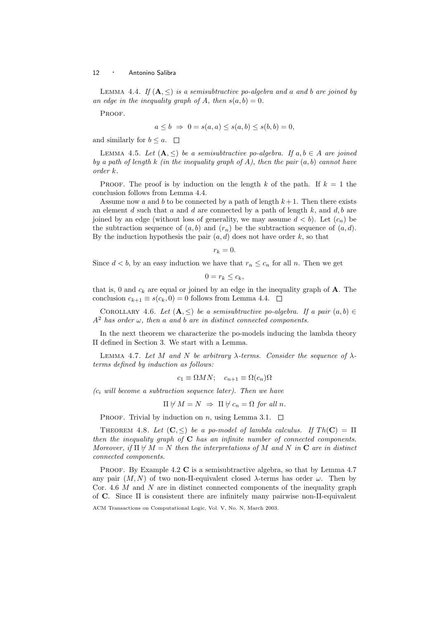LEMMA 4.4. If  $(A, \leq)$  is a semisubtractive po-algebra and a and b are joined by an edge in the inequality graph of A, then  $s(a, b) = 0$ .

PROOF.

$$
a \le b \Rightarrow 0 = s(a, a) \le s(a, b) \le s(b, b) = 0,
$$

and similarly for  $b \leq a$ .  $\square$ 

LEMMA 4.5. Let  $(A, \leq)$  be a semisubtractive po-algebra. If  $a, b \in A$  are joined by a path of length k (in the inequality graph of A), then the pair  $(a, b)$  cannot have order k.

PROOF. The proof is by induction on the length k of the path. If  $k = 1$  the conclusion follows from Lemma 4.4.

Assume now a and b to be connected by a path of length  $k+1$ . Then there exists an element  $d$  such that  $a$  and  $d$  are connected by a path of length  $k$ , and  $d$ ,  $b$  are joined by an edge (without loss of generality, we may assume  $d < b$ ). Let  $(c_n)$  be the subtraction sequence of  $(a, b)$  and  $(r_n)$  be the subtraction sequence of  $(a, d)$ . By the induction hypothesis the pair  $(a, d)$  does not have order k, so that

 $r_k = 0.$ 

Since  $d < b$ , by an easy induction we have that  $r_n \leq c_n$  for all n. Then we get

$$
0=r_k\leq c_k,
$$

that is, 0 and  $c_k$  are equal or joined by an edge in the inequality graph of  $A$ . The conclusion  $c_{k+1} \equiv s(c_k, 0) = 0$  follows from Lemma 4.4.  $\Box$ 

COROLLARY 4.6. Let  $(A, \leq)$  be a semisubtractive po-algebra. If a pair  $(a, b) \in$  $A<sup>2</sup>$  has order  $\omega$ , then a and b are in distinct connected components.

In the next theorem we characterize the po-models inducing the lambda theory Π defined in Section 3. We start with a Lemma.

LEMMA 4.7. Let M and N be arbitrary  $\lambda$ -terms. Consider the sequence of  $\lambda$ terms defined by induction as follows:

$$
c_1 \equiv \Omega MN; \quad c_{n+1} \equiv \Omega(c_n)\Omega
$$

 $(c<sub>i</sub> will become a subtraction sequence later).$  Then we have

$$
\Pi \not\vdash M = N \ \Rightarrow \ \Pi \not\vdash c_n = \Omega \text{ for all } n.
$$

PROOF. Trivial by induction on n, using Lemma 3.1.  $\Box$ 

THEOREM 4.8. Let  $(C, \leq)$  be a po-model of lambda calculus. If  $Th(C) = \Pi$ then the inequality graph of  $C$  has an infinite number of connected components. Moreover, if  $\Pi \not\vdash M = N$  then the interpretations of M and N in C are in distinct connected components.

PROOF. By Example 4.2 C is a semisubtractive algebra, so that by Lemma 4.7 any pair  $(M, N)$  of two non-II-equivalent closed  $\lambda$ -terms has order  $\omega$ . Then by Cor. 4.6  $M$  and  $N$  are in distinct connected components of the inequality graph of C. Since Π is consistent there are infinitely many pairwise non-Π-equivalent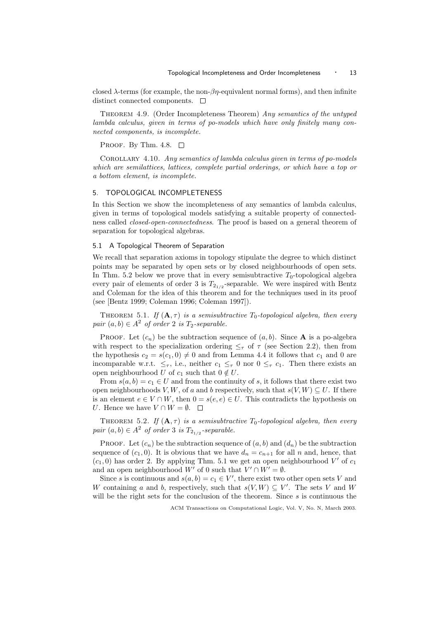closed  $\lambda$ -terms (for example, the non- $\beta\eta$ -equivalent normal forms), and then infinite distinct connected components.  $\Box$ 

Theorem 4.9. (Order Incompleteness Theorem) Any semantics of the untyped lambda calculus, given in terms of po-models which have only finitely many connected components, is incomplete.

PROOF. By Thm. 4.8.  $\square$ 

Corollary 4.10. Any semantics of lambda calculus given in terms of po-models which are semilattices, lattices, complete partial orderings, or which have a top or a bottom element, is incomplete.

# 5. TOPOLOGICAL INCOMPLETENESS

In this Section we show the incompleteness of any semantics of lambda calculus, given in terms of topological models satisfying a suitable property of connectedness called closed-open-connectedness. The proof is based on a general theorem of separation for topological algebras.

# 5.1 A Topological Theorem of Separation

We recall that separation axioms in topology stipulate the degree to which distinct points may be separated by open sets or by closed neighbourhoods of open sets. In Thm. 5.2 below we prove that in every semisubtractive  $T_0$ -topological algebra every pair of elements of order 3 is  $T_{2_{1/2}}$ -separable. We were inspired with Bentz and Coleman for the idea of this theorem and for the techniques used in its proof (see [Bentz 1999; Coleman 1996; Coleman 1997]).

THEOREM 5.1. If  $(A, \tau)$  is a semisubtractive  $T_0$ -topological algebra, then every pair  $(a, b) \in A^2$  of order 2 is  $T_2$ -separable.

PROOF. Let  $(c_n)$  be the subtraction sequence of  $(a, b)$ . Since **A** is a po-algebra with respect to the specialization ordering  $\leq_{\tau}$  of  $\tau$  (see Section 2.2), then from the hypothesis  $c_2 = s(c_1, 0) \neq 0$  and from Lemma 4.4 it follows that  $c_1$  and 0 are incomparable w.r.t.  $\leq_{\tau}$ , i.e., neither  $c_1 \leq_{\tau} 0$  nor  $0 \leq_{\tau} c_1$ . Then there exists an open neighbourhood U of  $c_1$  such that  $0 \notin U$ .

From  $s(a, b) = c_1 \in U$  and from the continuity of s, it follows that there exist two open neighbourhoods V, W, of a and b respectively, such that  $s(V, W) \subseteq U$ . If there is an element  $e \in V \cap W$ , then  $0 = s(e, e) \in U$ . This contradicts the hypothesis on U. Hence we have  $V \cap W = \emptyset$ .  $\Box$ 

THEOREM 5.2. If  $(A, \tau)$  is a semisubtractive  $T_0$ -topological algebra, then every pair  $(a, b) \in A^2$  of order 3 is  $T_{2_{1/2}}$ -separable.

**PROOF.** Let  $(c_n)$  be the subtraction sequence of  $(a, b)$  and  $(d_n)$  be the subtraction sequence of  $(c_1, 0)$ . It is obvious that we have  $d_n = c_{n+1}$  for all n and, hence, that  $(c_1, 0)$  has order 2. By applying Thm. 5.1 we get an open neighbourhood V' of  $c_1$ and an open neighbourhood W' of 0 such that  $V' \cap W' = \emptyset$ .

Since s is continuous and  $s(a, b) = c_1 \in V'$ , there exist two other open sets V and W containing a and b, respectively, such that  $s(V, W) \subseteq V'$ . The sets V and W will be the right sets for the conclusion of the theorem. Since  $s$  is continuous the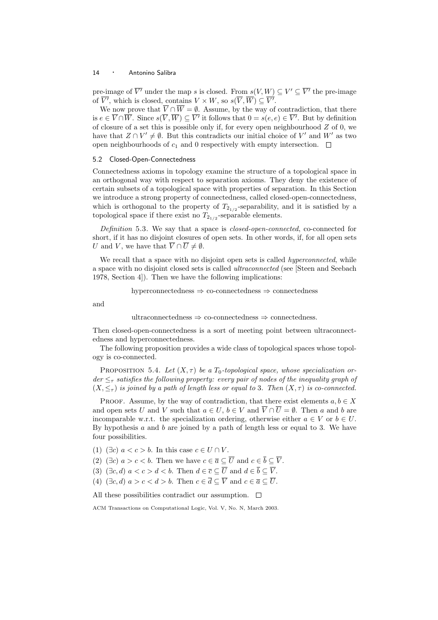pre-image of  $\overline{V'}$  under the map s is closed. From  $s(V,W) \subseteq V' \subseteq \overline{V'}$  the pre-image of  $\overline{V'}$ , which is closed, contains  $V \times W$ , so  $s(\overline{V}, \overline{W}) \subseteq \overline{V'}$ .

We now prove that  $\overline{V} \cap \overline{W} = \emptyset$ . Assume, by the way of contradiction, that there is  $e \in \overline{V} \cap \overline{W}$ . Since  $s(\overline{V}, \overline{W}) \subseteq \overline{V'}$  it follows that  $0 = s(e, e) \in \overline{V'}$ . But by definition of closure of a set this is possible only if, for every open neighbourhood Z of 0, we have that  $Z \cap V' \neq \emptyset$ . But this contradicts our initial choice of V' and W' as two open neighbourhoods of  $c_1$  and 0 respectively with empty intersection.  $\Box$ 

## 5.2 Closed-Open-Connectedness

Connectedness axioms in topology examine the structure of a topological space in an orthogonal way with respect to separation axioms. They deny the existence of certain subsets of a topological space with properties of separation. In this Section we introduce a strong property of connectedness, called closed-open-connectedness, which is orthogonal to the property of  $T_{2_{1/2}}$ -separability, and it is satisfied by a topological space if there exist no  $T_{2_{1/2}}$ -separable elements.

Definition 5.3. We say that a space is *closed-open-connected*, co-connected for short, if it has no disjoint closures of open sets. In other words, if, for all open sets U and V, we have that  $\overline{V} \cap \overline{U} \neq \emptyset$ .

We recall that a space with no disjoint open sets is called *hyperconnected*, while a space with no disjoint closed sets is called ultraconnected (see [Steen and Seebach 1978, Section 4]). Then we have the following implications:

$$
hyperconnectedness \Rightarrow co-connectedness \Rightarrow connectedness
$$

and

ultraconnectedness  $\Rightarrow$  co-connectedness  $\Rightarrow$  connectedness.

Then closed-open-connectedness is a sort of meeting point between ultraconnectedness and hyperconnectedness.

The following proposition provides a wide class of topological spaces whose topology is co-connected.

PROPOSITION 5.4. Let  $(X, \tau)$  be a  $T_0$ -topological space, whose specialization or $der \leq_{\tau}$  satisfies the following property: every pair of nodes of the inequality graph of  $(X, \leq_{\tau})$  is joined by a path of length less or equal to 3. Then  $(X, \tau)$  is co-connected.

PROOF. Assume, by the way of contradiction, that there exist elements  $a, b \in X$ and open sets U and V such that  $a \in U$ ,  $b \in V$  and  $\overline{V} \cap \overline{U} = \emptyset$ . Then a and b are incomparable w.r.t. the specialization ordering, otherwise either  $a \in V$  or  $b \in U$ . By hypothesis  $a$  and  $b$  are joined by a path of length less or equal to 3. We have four possibilities.

- (1) ( $\exists c$ )  $a < c > b$ . In this case  $c \in U \cap V$ .
- (2) ( $\exists c$ )  $a > c < b$ . Then we have  $c \in \overline{a} \subseteq \overline{U}$  and  $c \in \overline{b} \subseteq \overline{V}$ .
- (3) ( $\exists c, d$ )  $a < c > d < b$ . Then  $d \in \overline{c} \subseteq \overline{U}$  and  $d \in \overline{b} \subseteq \overline{V}$ .
- (4) ( $\exists c, d$ )  $a > c < d > b$ . Then  $c \in \overline{d} \subseteq \overline{V}$  and  $c \in \overline{a} \subseteq \overline{U}$ .

All these possibilities contradict our assumption.  $\Box$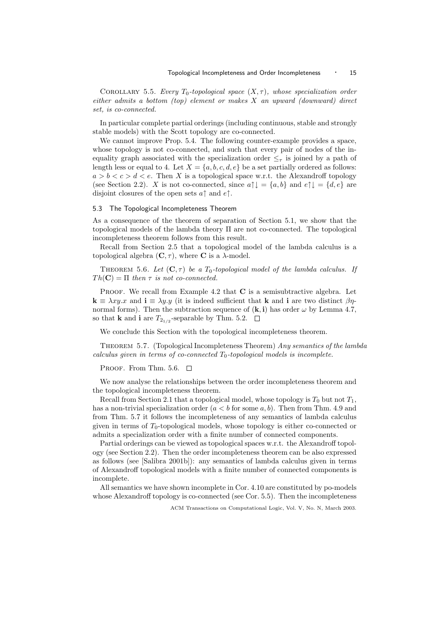COROLLARY 5.5. Every  $T_0$ -topological space  $(X, \tau)$ , whose specialization order either admits a bottom (top) element or makes X an upward (downward) direct set, is co-connected.

In particular complete partial orderings (including continuous, stable and strongly stable models) with the Scott topology are co-connected.

We cannot improve Prop. 5.4. The following counter-example provides a space, whose topology is not co-connected, and such that every pair of nodes of the inequality graph associated with the specialization order  $\leq_\tau$  is joined by a path of length less or equal to 4. Let  $X = \{a, b, c, d, e\}$  be a set partially ordered as follows:  $a > b < c > d < e$ . Then X is a topological space w.r.t. the Alexandroff topology (see Section 2.2). X is not co-connected, since  $a \uparrow \downarrow = \{a, b\}$  and  $e \uparrow \downarrow = \{d, e\}$  are disjoint closures of the open sets  $a \uparrow$  and  $e \uparrow$ .

### 5.3 The Topological Incompleteness Theorem

As a consequence of the theorem of separation of Section 5.1, we show that the topological models of the lambda theory Π are not co-connected. The topological incompleteness theorem follows from this result.

Recall from Section 2.5 that a topological model of the lambda calculus is a topological algebra  $(C, \tau)$ , where C is a  $\lambda$ -model.

THEOREM 5.6. Let  $(C, \tau)$  be a  $T_0$ -topological model of the lambda calculus. If  $Th(C) = \Pi$  then  $\tau$  is not co-connected.

PROOF. We recall from Example 4.2 that  $C$  is a semisubtractive algebra. Let  $\mathbf{k} \equiv \lambda xy.x$  and  $\mathbf{i} \equiv \lambda y.y$  (it is indeed sufficient that **k** and **i** are two distinct  $\beta \eta$ normal forms). Then the subtraction sequence of  $(k, i)$  has order  $\omega$  by Lemma 4.7, so that **k** and **i** are  $T_{2_{1/2}}$ -separable by Thm. 5.2.

We conclude this Section with the topological incompleteness theorem.

Theorem 5.7. (Topological Incompleteness Theorem) Any semantics of the lambda calculus given in terms of co-connected  $T_0$ -topological models is incomplete.

PROOF. From Thm. 5.6.  $\Box$ 

We now analyse the relationships between the order incompleteness theorem and the topological incompleteness theorem.

Recall from Section 2.1 that a topological model, whose topology is  $T_0$  but not  $T_1$ , has a non-trivial specialization order  $(a < b$  for some a, b). Then from Thm. 4.9 and from Thm. 5.7 it follows the incompleteness of any semantics of lambda calculus given in terms of  $T_0$ -topological models, whose topology is either co-connected or admits a specialization order with a finite number of connected components.

Partial orderings can be viewed as topological spaces w.r.t. the Alexandroff topology (see Section 2.2). Then the order incompleteness theorem can be also expressed as follows (see [Salibra 2001b]): any semantics of lambda calculus given in terms of Alexandroff topological models with a finite number of connected components is incomplete.

All semantics we have shown incomplete in Cor. 4.10 are constituted by po-models whose Alexandroff topology is co-connected (see Cor. 5.5). Then the incompleteness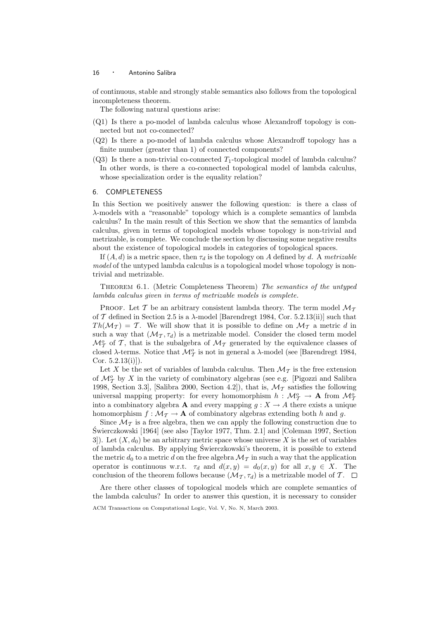of continuous, stable and strongly stable semantics also follows from the topological incompleteness theorem.

The following natural questions arise:

- (Q1) Is there a po-model of lambda calculus whose Alexandroff topology is connected but not co-connected?
- (Q2) Is there a po-model of lambda calculus whose Alexandroff topology has a finite number (greater than 1) of connected components?
- $(Q3)$  Is there a non-trivial co-connected  $T_1$ -topological model of lambda calculus? In other words, is there a co-connected topological model of lambda calculus, whose specialization order is the equality relation?

# 6. COMPLETENESS

In this Section we positively answer the following question: is there a class of λ-models with a "reasonable" topology which is a complete semantics of lambda calculus? In the main result of this Section we show that the semantics of lambda calculus, given in terms of topological models whose topology is non-trivial and metrizable, is complete. We conclude the section by discussing some negative results about the existence of topological models in categories of topological spaces.

If  $(A, d)$  is a metric space, then  $\tau_d$  is the topology on A defined by d. A metrizable model of the untyped lambda calculus is a topological model whose topology is nontrivial and metrizable.

Theorem 6.1. (Metric Completeness Theorem) The semantics of the untyped lambda calculus given in terms of metrizable models is complete.

PROOF. Let T be an arbitrary consistent lambda theory. The term model  $\mathcal{M}_{\mathcal{T}}$ of  $\mathcal T$  defined in Section 2.5 is a  $\lambda$ -model [Barendregt 1984, Cor. 5.2.13(ii)] such that  $Th(\mathcal{M}_T) = T$ . We will show that it is possible to define on  $\mathcal{M}_T$  a metric d in such a way that  $(\mathcal{M}_{\mathcal{T}}, \tau_d)$  is a metrizable model. Consider the closed term model  $\mathcal{M}_{\mathcal{T}}^o$  of  $\mathcal{T}$ , that is the subalgebra of  $\mathcal{M}_{\mathcal{T}}$  generated by the equivalence classes of closed  $\lambda$ -terms. Notice that  $\mathcal{M}_{\mathcal{T}}^o$  is not in general a  $\lambda$ -model (see [Barendregt 1984, Cor.  $5.2.13(i)$ .

Let X be the set of variables of lambda calculus. Then  $\mathcal{M}_{\mathcal{T}}$  is the free extension of  $\mathcal{M}_{\mathcal{T}}^o$  by X in the variety of combinatory algebras (see e.g. [Pigozzi and Salibra 1998, Section 3.3, [Salibra 2000, Section 4.2]), that is,  $\mathcal{M}_{\mathcal{T}}$  satisfies the following universal mapping property: for every homomorphism  $h: \mathcal{M}_\mathcal{T}^o \to \mathbf{A}$  from  $\mathcal{M}_\mathcal{T}^o$ into a combinatory algebra **A** and every mapping  $g: X \to A$  there exists a unique homomorphism  $f : \mathcal{M}_{\mathcal{T}} \to \mathbf{A}$  of combinatory algebras extending both h and g.

Since  $\mathcal{M}_{\mathcal{T}}$  is a free algebra, then we can apply the following construction due to Swierczkowski [1964] (see also [Taylor 1977, Thm. 2.1] and [Coleman 1997, Section ´ 3.3]. Let  $(X, d_0)$  be an arbitrary metric space whose universe X is the set of variables of lambda calculus. By applying Swierczkowski's theorem, it is possible to extend ´ the metric  $d_0$  to a metric d on the free algebra  $\mathcal{M}_{\mathcal{T}}$  in such a way that the application operator is continuous w.r.t.  $\tau_d$  and  $d(x, y) = d_0(x, y)$  for all  $x, y \in X$ . The conclusion of the theorem follows because  $(\mathcal{M}_{\mathcal{T}}, \tau_d)$  is a metrizable model of T.  $\Box$ 

Are there other classes of topological models which are complete semantics of the lambda calculus? In order to answer this question, it is necessary to consider

ACM Transactions on Computational Logic, Vol. V, No. N, March 2003.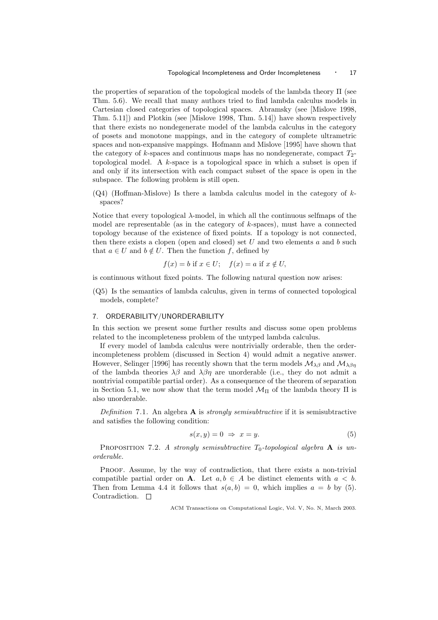the properties of separation of the topological models of the lambda theory Π (see Thm. 5.6). We recall that many authors tried to find lambda calculus models in Cartesian closed categories of topological spaces. Abramsky (see [Mislove 1998, Thm. 5.11]) and Plotkin (see [Mislove 1998, Thm. 5.14]) have shown respectively that there exists no nondegenerate model of the lambda calculus in the category of posets and monotone mappings, and in the category of complete ultrametric spaces and non-expansive mappings. Hofmann and Mislove [1995] have shown that the category of k-spaces and continuous maps has no nondegenerate, compact  $T_2$ topological model. A k-space is a topological space in which a subset is open if and only if its intersection with each compact subset of the space is open in the subspace. The following problem is still open.

 $(Q4)$  (Hoffman-Mislove) Is there a lambda calculus model in the category of  $k$ spaces?

Notice that every topological  $\lambda$ -model, in which all the continuous selfmaps of the model are representable (as in the category of  $k$ -spaces), must have a connected topology because of the existence of fixed points. If a topology is not connected, then there exists a clopen (open and closed) set  $U$  and two elements  $a$  and  $b$  such that  $a \in U$  and  $b \notin U$ . Then the function f, defined by

$$
f(x) = b \text{ if } x \in U; \quad f(x) = a \text{ if } x \notin U,
$$

is continuous without fixed points. The following natural question now arises:

(Q5) Is the semantics of lambda calculus, given in terms of connected topological models, complete?

#### 7. ORDERABILITY/UNORDERABILITY

In this section we present some further results and discuss some open problems related to the incompleteness problem of the untyped lambda calculus.

If every model of lambda calculus were nontrivially orderable, then the orderincompleteness problem (discussed in Section 4) would admit a negative answer. However, Selinger [1996] has recently shown that the term models  $\mathcal{M}_{\lambda\beta}$  and  $\mathcal{M}_{\lambda\beta\eta}$ of the lambda theories  $\lambda\beta$  and  $\lambda\beta\eta$  are unorderable (i.e., they do not admit a nontrivial compatible partial order). As a consequence of the theorem of separation in Section 5.1, we now show that the term model  $\mathcal{M}_{\Pi}$  of the lambda theory  $\Pi$  is also unorderable.

Definition 7.1. An algebra  $\bf{A}$  is strongly semisubtractive if it is semisubtractive and satisfies the following condition:

$$
s(x, y) = 0 \Rightarrow x = y. \tag{5}
$$

PROPOSITION 7.2. A strongly semisubtractive  $T_0$ -topological algebra **A** is unorderable.

PROOF. Assume, by the way of contradiction, that there exists a non-trivial compatible partial order on **A**. Let  $a, b \in A$  be distinct elements with  $a < b$ . Then from Lemma 4.4 it follows that  $s(a, b) = 0$ , which implies  $a = b$  by (5). Contradiction.  $\Box$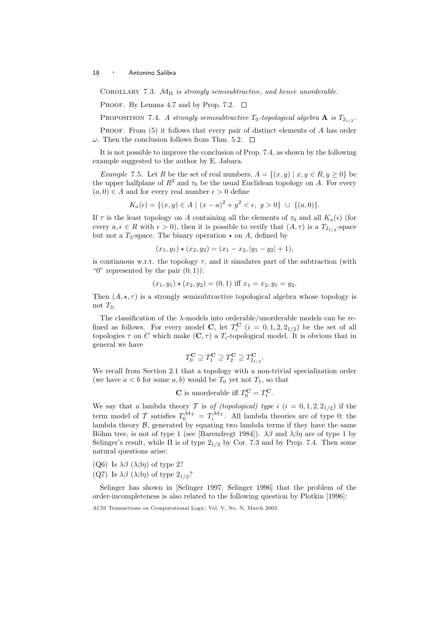COROLLARY 7.3.  $\mathcal{M}_{\Pi}$  is strongly semisubtractive, and hence unorderable.

PROOF. By Lemma 4.7 and by Prop. 7.2.  $\Box$ 

PROPOSITION 7.4. A strongly semisubtractive  $T_0$ -topological algebra  $\mathbf A$  is  $T_{2_{1/2}}$ .

PROOF. From (5) it follows that every pair of distinct elements of A has order  $\omega$ . Then the conclusion follows from Thm. 5.2.  $\Box$ 

It is not possible to improve the conclusion of Prop. 7.4, as shown by the following example suggested to the author by E. Jabara.

Example 7.5. Let R be the set of real numbers,  $A = \{(x, y) | x, y \in R, y \ge 0\}$  be the upper halfplane of  $R^2$  and  $\tau_0$  be the usual Euclidean topology on A. For every  $(a, 0) \in A$  and for every real number  $\epsilon > 0$  define

$$
K_a(\epsilon) = \{(x, y) \in A \mid (x - a)^2 + y^2 < \epsilon, \ y > 0\} \ \cup \ \{(a, 0)\}.
$$

If  $\tau$  is the least topology on A containing all the elements of  $\tau_0$  and all  $K_a(\epsilon)$  (for every  $a, \epsilon \in R$  with  $\epsilon > 0$ , then it is possible to verify that  $(A, \tau)$  is a  $T_{2_{1/2}}$ -space but not a  $T_3$ -space. The binary operation  $\star$  on A, defined by

$$
(x_1, y_1) \star (x_2, y_2) = (x_1 - x_2, |y_1 - y_2| + 1),
$$

is continuous w.r.t. the topology  $\tau$ , and it simulates part of the subtraction (with " $0$ " represented by the pair  $(0, 1)$ :

$$
(x_1, y_1) \star (x_2, y_2) = (0, 1)
$$
 iff  $x_1 = x_2, y_1 = y_2$ .

Then  $(A, \star, \tau)$  is a strongly semisubtractive topological algebra whose topology is not  $T_3$ .

The classification of the  $\lambda$ -models into orderable/unorderable models can be refined as follows. For every model C, let  $T_i^{\mathbf{C}}$   $(i = 0, 1, 2, 2_{1/2})$  be the set of all topologies  $\tau$  on C which make  $(C, \tau)$  a  $T_i$ -topological model. It is obvious that in general we have

$$
T_0^{\mathbf{C}} \supseteq T_1^{\mathbf{C}} \supseteq T_2^{\mathbf{C}} \supseteq T_{2_{1/2}}^{\mathbf{C}}.
$$

We recall from Section 2.1 that a topology with a non-trivial specialization order (we have  $a < b$  for some  $a, b$ ) would be  $T_0$  yet not  $T_1$ , so that

**C** is unorderable iff 
$$
T_0^{\mathbf{C}} = T_1^{\mathbf{C}}
$$
.

We say that a lambda theory T is of (topological) type i  $(i = 0, 1, 2, 2_{1/2})$  if the term model of T satisfies  $T_0^{\mathcal{M}_{\mathcal{T}}} = T_i^{\mathcal{M}_{\mathcal{T}}}$ . All lambda theories are of type 0; the lambda theory  $\mathcal{B}$ , generated by equating two lambda terms if they have the same Böhm tree, is not of type 1 (see [Barendregt 1984]).  $\lambda\beta$  and  $\lambda\beta\eta$  are of type 1 by Selinger's result, while  $\Pi$  is of type  $2_{1/2}$  by Cor. 7.3 and by Prop. 7.4. Then some natural questions arise:

- (Q6) Is  $\lambda\beta$  ( $\lambda\beta\eta$ ) of type 2?
- (Q7) Is  $\lambda \beta$  ( $\lambda \beta \eta$ ) of type  $2_{1/2}$ ?

Selinger has shown in [Selinger 1997; Selinger 1996] that the problem of the order-incompleteness is also related to the following question by Plotkin [1996]:

ACM Transactions on Computational Logic, Vol. V, No. N, March 2003.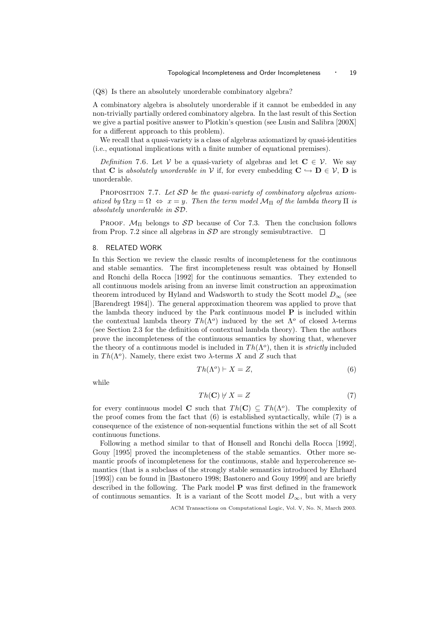(Q8) Is there an absolutely unorderable combinatory algebra?

A combinatory algebra is absolutely unorderable if it cannot be embedded in any non-trivially partially ordered combinatory algebra. In the last result of this Section we give a partial positive answer to Plotkin's question (see Lusin and Salibra [200X] for a different approach to this problem).

We recall that a quasi-variety is a class of algebras axiomatized by quasi-identities (i.e., equational implications with a finite number of equational premises).

Definition 7.6. Let V be a quasi-variety of algebras and let  $C \in \mathcal{V}$ . We say that **C** is absolutely unorderable in V if, for every embedding  $C \hookrightarrow D \in V$ , **D** is unorderable.

PROPOSITION 7.7. Let  $SD$  be the quasi-variety of combinatory algebras axiomatized by  $\Omega xy = \Omega \Leftrightarrow x = y$ . Then the term model  $\mathcal{M}_{\Pi}$  of the lambda theory  $\Pi$  is absolutely unorderable in SD.

PROOF.  $\mathcal{M}_{\Pi}$  belongs to  $\mathcal{SD}$  because of Cor 7.3. Then the conclusion follows from Prop. 7.2 since all algebras in  $\mathcal{SD}$  are strongly semisubtractive.  $\Box$ 

### 8. RELATED WORK

In this Section we review the classic results of incompleteness for the continuous and stable semantics. The first incompleteness result was obtained by Honsell and Ronchi della Rocca [1992] for the continuous semantics. They extended to all continuous models arising from an inverse limit construction an approximation theorem introduced by Hyland and Wadsworth to study the Scott model  $D_{\infty}$  (see [Barendregt 1984]). The general approximation theorem was applied to prove that the lambda theory induced by the Park continuous model  $P$  is included within the contextual lambda theory  $Th(\Lambda^o)$  induced by the set  $\Lambda^o$  of closed  $\lambda$ -terms (see Section 2.3 for the definition of contextual lambda theory). Then the authors prove the incompleteness of the continuous semantics by showing that, whenever the theory of a continuous model is included in  $Th(\Lambda^o)$ , then it is *strictly* included in  $Th(\Lambda^o)$ . Namely, there exist two  $\lambda$ -terms X and Z such that

$$
Th(\Lambda^o) \vdash X = Z,\tag{6}
$$

while

$$
Th(\mathbf{C}) \neq X = Z \tag{7}
$$

for every continuous model **C** such that  $Th(C) \subseteq Th(\Lambda^o)$ . The complexity of the proof comes from the fact that (6) is established syntactically, while (7) is a consequence of the existence of non-sequential functions within the set of all Scott continuous functions.

Following a method similar to that of Honsell and Ronchi della Rocca [1992], Gouy [1995] proved the incompleteness of the stable semantics. Other more semantic proofs of incompleteness for the continuous, stable and hypercoherence semantics (that is a subclass of the strongly stable semantics introduced by Ehrhard [1993]) can be found in [Bastonero 1998; Bastonero and Gouy 1999] and are briefly described in the following. The Park model P was first defined in the framework of continuous semantics. It is a variant of the Scott model  $D_{\infty}$ , but with a very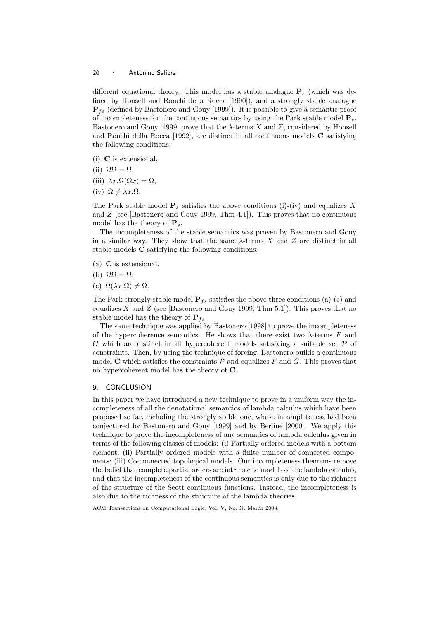different equational theory. This model has a stable analogue  $P_s$  (which was defined by Honsell and Ronchi della Rocca [1990]), and a strongly stable analogue  $\mathbf{P}_{fs}$  (defined by Bastonero and Gouy [1999]). It is possible to give a semantic proof of incompleteness for the continuous semantics by using the Park stable model  $P_s$ . Bastonero and Gouy [1999] prove that the  $\lambda$ -terms X and Z, considered by Honsell and Ronchi della Rocca [1992], are distinct in all continuous models C satisfying the following conditions:

- (i) C is extensional,
- (ii)  $\Omega \Omega = \Omega$ ,
- (iii)  $\lambda x.\Omega(\Omega x) = \Omega$ ,
- (iv)  $\Omega \neq \lambda x.\Omega$ .

The Park stable model  $P_s$  satisfies the above conditions (i)-(iv) and equalizes X and  $Z$  (see [Bastonero and Gouy 1999, Thm 4.1]). This proves that no continuous model has the theory of  $P_s$ .

The incompleteness of the stable semantics was proven by Bastonero and Gouy in a similar way. They show that the same  $\lambda$ -terms X and Z are distinct in all stable models C satisfying the following conditions:

- (a) C is extensional,
- (b)  $\Omega \Omega = \Omega$ ,
- (c)  $\Omega(\lambda x.\Omega) \neq \Omega$ .

The Park strongly stable model  $\mathbf{P}_{fs}$  satisfies the above three conditions (a)-(c) and equalizes  $X$  and  $Z$  (see [Bastonero and Gouy 1999, Thm 5.1]). This proves that no stable model has the theory of  $P_{fs}$ .

The same technique was applied by Bastonero [1998] to prove the incompleteness of the hypercoherence semantics. He shows that there exist two  $\lambda$ -terms F and G which are distinct in all hypercoherent models satisfying a suitable set  $P$  of constraints. Then, by using the technique of forcing, Bastonero builds a continuous model C which satisfies the constraints  $P$  and equalizes F and G. This proves that no hypercoherent model has the theory of C.

## 9. CONCLUSION

In this paper we have introduced a new technique to prove in a uniform way the incompleteness of all the denotational semantics of lambda calculus which have been proposed so far, including the strongly stable one, whose incompleteness had been conjectured by Bastonero and Gouy [1999] and by Berline [2000]. We apply this technique to prove the incompleteness of any semantics of lambda calculus given in terms of the following classes of models: (i) Partially ordered models with a bottom element; (ii) Partially ordered models with a finite number of connected components; (iii) Co-connected topological models. Our incompleteness theorems remove the belief that complete partial orders are intrinsic to models of the lambda calculus, and that the incompleteness of the continuous semantics is only due to the richness of the structure of the Scott continuous functions. Instead, the incompleteness is also due to the richness of the structure of the lambda theories.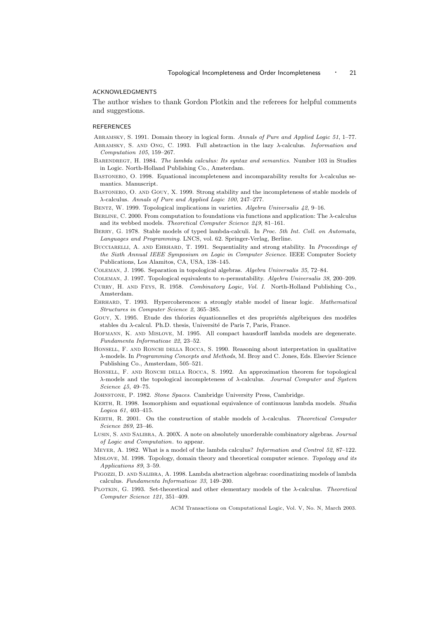#### ACKNOWLEDGMENTS

The author wishes to thank Gordon Plotkin and the referees for helpful comments and suggestions.

#### REFERENCES

ABRAMSKY, S. 1991. Domain theory in logical form. Annals of Pure and Applied Logic 51, 1–77.

- Abramsky, S. and Ong, C. 1993. Full abstraction in the lazy λ-calculus. Information and Computation 105, 159–267.
- BARENDREGT, H. 1984. The lambda calculus: Its syntax and semantics. Number 103 in Studies in Logic. North-Holland Publishing Co., Amsterdam.
- BASTONERO, O. 1998. Equational incompleteness and incomparability results for  $\lambda$ -calculus semantics. Manuscript.
- BASTONERO, O. AND GOUY, X. 1999. Strong stability and the incompleteness of stable models of λ-calculus. Annals of Pure and Applied Logic 100, 247–277.
- Bentz, W. 1999. Topological implications in varieties. Algebra Universalis 42, 9–16.
- BERLINE, C. 2000. From computation to foundations via functions and application: The  $\lambda$ -calculus and its webbed models. Theoretical Computer Science 249, 81–161.
- Berry, G. 1978. Stable models of typed lambda-calculi. In Proc. 5th Int. Coll. on Automata, Languages and Programming. LNCS, vol. 62. Springer-Verlag, Berline.
- BUCCIARELLI, A. AND EHRHARD, T. 1991. Sequentiality and strong stability. In Proceedings of the Sixth Annual IEEE Symposium on Logic in Computer Science. IEEE Computer Society Publications, Los Alamitos, CA, USA, 138–145.
- Coleman, J. 1996. Separation in topological algebras. Algebra Universalis 35, 72–84.
- Coleman, J. 1997. Topological equivalents to n-permutability. Algebra Universalis 38, 200–209.
- Curry, H. and Feys, R. 1958. Combinatory Logic, Vol. I. North-Holland Publishing Co., Amsterdam.
- Ehrhard, T. 1993. Hypercoherences: a strongly stable model of linear logic. Mathematical Structures in Computer Science 2, 365–385.
- GOUY, X. 1995. Etude des théories équationnelles et des propriétés algébriques des modéles stables du  $\lambda$ -calcul. Ph.D. thesis, Université de Paris 7, Paris, France.
- Hofmann, K. and Mislove, M. 1995. All compact hausdorff lambda models are degenerate. Fundamenta Informaticae 22, 23–52.
- Honsell, F. and Ronchi della Rocca, S. 1990. Reasoning about interpretation in qualitative λ-models. In Programming Concepts and Methods, M. Broy and C. Jones, Eds. Elsevier Science Publishing Co., Amsterdam, 505–521.
- HONSELL, F. AND RONCHI DELLA ROCCA, S. 1992. An approximation theorem for topological  $\lambda$ -models and the topological incompleteness of  $\lambda$ -calculus. Journal Computer and System Science 45, 49–75.
- Johnstone, P. 1982. Stone Spaces. Cambridge University Press, Cambridge.
- KERTH, R. 1998. Isomorphism and equational equivalence of continuous lambda models. Studia Logica 61, 403–415.
- KERTH, R. 2001. On the construction of stable models of  $\lambda$ -calculus. Theoretical Computer Science 269, 23–46.
- Lusin, S. and Salibra, A. 200X. A note on absolutely unorderable combinatory algebras. Journal of Logic and Computation. to appear.
- Meyer, A. 1982. What is a model of the lambda calculus? Information and Control 52, 87–122.
- Mislove, M. 1998. Topology, domain theory and theoretical computer science. Topology and its Applications 89, 3–59.
- Pigozzi, D. and Salibra, A. 1998. Lambda abstraction algebras: coordinatizing models of lambda calculus. Fundamenta Informaticae 33, 149–200.
- PLOTKIN, G. 1993. Set-theoretical and other elementary models of the  $\lambda$ -calculus. Theoretical Computer Science 121, 351–409.